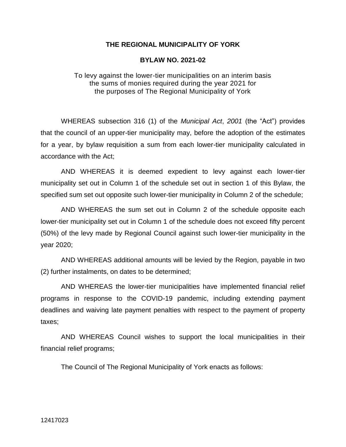## **THE REGIONAL MUNICIPALITY OF YORK**

## **BYLAW NO. 2021-02**

To levy against the lower-tier municipalities on an interim basis the sums of monies required during the year 2021 for the purposes of The Regional Municipality of York

WHEREAS subsection 316 (1) of the *Municipal Act*, *2001* (the "Act") provides that the council of an upper-tier municipality may, before the adoption of the estimates for a year, by bylaw requisition a sum from each lower-tier municipality calculated in accordance with the Act;

AND WHEREAS it is deemed expedient to levy against each lower-tier municipality set out in Column 1 of the schedule set out in section 1 of this Bylaw, the specified sum set out opposite such lower-tier municipality in Column 2 of the schedule;

AND WHEREAS the sum set out in Column 2 of the schedule opposite each lower-tier municipality set out in Column 1 of the schedule does not exceed fifty percent (50%) of the levy made by Regional Council against such lower-tier municipality in the year 2020;

AND WHEREAS additional amounts will be levied by the Region, payable in two (2) further instalments, on dates to be determined;

AND WHEREAS the lower-tier municipalities have implemented financial relief programs in response to the COVID-19 pandemic, including extending payment deadlines and waiving late payment penalties with respect to the payment of property taxes;

AND WHEREAS Council wishes to support the local municipalities in their financial relief programs;

The Council of The Regional Municipality of York enacts as follows: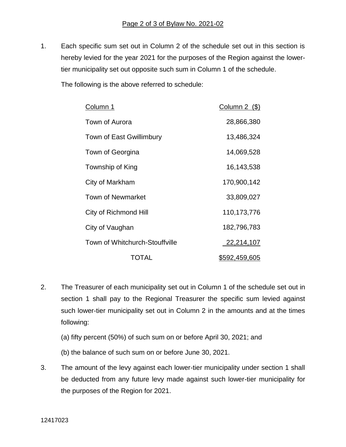1. Each specific sum set out in Column 2 of the schedule set out in this section is hereby levied for the year 2021 for the purposes of the Region against the lowertier municipality set out opposite such sum in Column 1 of the schedule.

The following is the above referred to schedule:

| Column 1                       | Column $2$ (\$) |
|--------------------------------|-----------------|
| Town of Aurora                 | 28,866,380      |
| Town of East Gwillimbury       | 13,486,324      |
| Town of Georgina               | 14,069,528      |
| Township of King               | 16,143,538      |
| City of Markham                | 170,900,142     |
| <b>Town of Newmarket</b>       | 33,809,027      |
| City of Richmond Hill          | 110,173,776     |
| City of Vaughan                | 182,796,783     |
| Town of Whitchurch-Stouffville | 22,214,107      |
| TOTAL                          | \$592,459,605   |

- 2. The Treasurer of each municipality set out in Column 1 of the schedule set out in section 1 shall pay to the Regional Treasurer the specific sum levied against such lower-tier municipality set out in Column 2 in the amounts and at the times following:
	- (a) fifty percent (50%) of such sum on or before April 30, 2021; and
	- (b) the balance of such sum on or before June 30, 2021.
- 3. The amount of the levy against each lower-tier municipality under section 1 shall be deducted from any future levy made against such lower-tier municipality for the purposes of the Region for 2021.